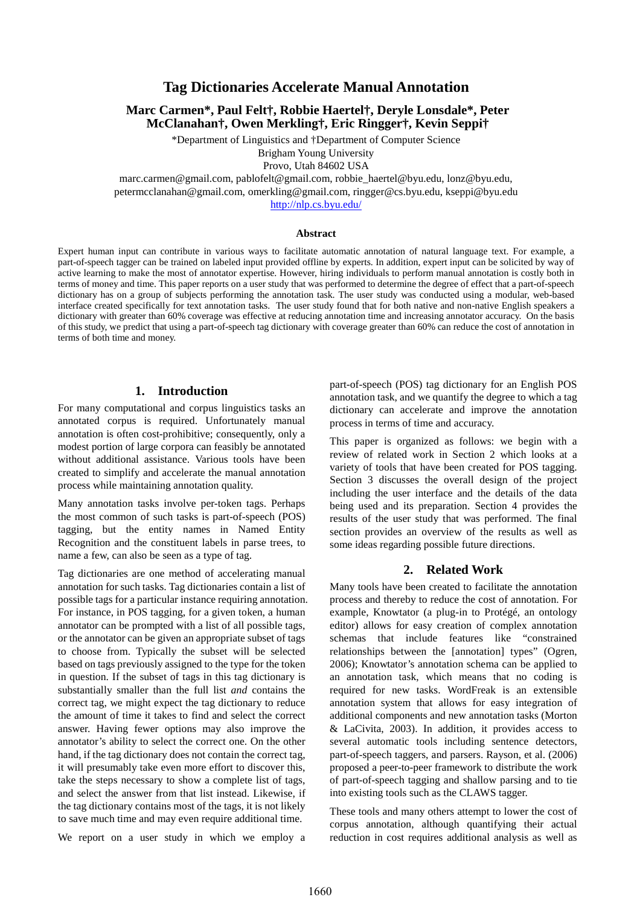# **Tag Dictionaries Accelerate Manual Annotation**

## **Marc Carmen\*, Paul Felt†, Robbie Haertel†, Deryle Lonsdale\*, Peter McClanahan†, Owen Merkling†, Eric Ringger†, Kevin Seppi†**

\*Department of Linguistics and †Department of Computer Science Brigham Young University Provo, Utah 84602 USA

marc.carmen@gmail.com, pablofelt@gmail.com, robbie\_haertel@byu.edu, lonz@byu.edu,

petermcclanahan@gmail.com, omerkling@gmail.com, ringger@cs.byu.edu, kseppi@byu.edu

http://nlp.cs.byu.edu/

#### **Abstract**

Expert human input can contribute in various ways to facilitate automatic annotation of natural language text. For example, a part-of-speech tagger can be trained on labeled input provided offline by experts. In addition, expert input can be solicited by way of active learning to make the most of annotator expertise. However, hiring individuals to perform manual annotation is costly both in terms of money and time. This paper reports on a user study that was performed to determine the degree of effect that a part-of-speech dictionary has on a group of subjects performing the annotation task. The user study was conducted using a modular, web-based interface created specifically for text annotation tasks. The user study found that for both native and non-native English speakers a dictionary with greater than 60% coverage was effective at reducing annotation time and increasing annotator accuracy. On the basis of this study, we predict that using a part-of-speech tag dictionary with coverage greater than 60% can reduce the cost of annotation in terms of both time and money.

## **1. Introduction**

For many computational and corpus linguistics tasks an annotated corpus is required. Unfortunately manual annotation is often cost-prohibitive; consequently, only a modest portion of large corpora can feasibly be annotated without additional assistance. Various tools have been created to simplify and accelerate the manual annotation process while maintaining annotation quality.

Many annotation tasks involve per-token tags. Perhaps the most common of such tasks is part-of-speech (POS) tagging, but the entity names in Named Entity Recognition and the constituent labels in parse trees, to name a few, can also be seen as a type of tag.

Tag dictionaries are one method of accelerating manual annotation for such tasks. Tag dictionaries contain a list of possible tags for a particular instance requiring annotation. For instance, in POS tagging, for a given token, a human annotator can be prompted with a list of all possible tags, or the annotator can be given an appropriate subset of tags to choose from. Typically the subset will be selected based on tags previously assigned to the type for the token in question. If the subset of tags in this tag dictionary is substantially smaller than the full list *and* contains the correct tag, we might expect the tag dictionary to reduce the amount of time it takes to find and select the correct answer. Having fewer options may also improve the annotator's ability to select the correct one. On the other hand, if the tag dictionary does not contain the correct tag, it will presumably take even more effort to discover this, take the steps necessary to show a complete list of tags, and select the answer from that list instead. Likewise, if the tag dictionary contains most of the tags, it is not likely to save much time and may even require additional time.

We report on a user study in which we employ a

part-of-speech (POS) tag dictionary for an English POS annotation task, and we quantify the degree to which a tag dictionary can accelerate and improve the annotation process in terms of time and accuracy.

This paper is organized as follows: we begin with a review of related work in Section 2 which looks at a variety of tools that have been created for POS tagging. Section 3 discusses the overall design of the project including the user interface and the details of the data being used and its preparation. Section 4 provides the results of the user study that was performed. The final section provides an overview of the results as well as some ideas regarding possible future directions.

## **2. Related Work**

Many tools have been created to facilitate the annotation process and thereby to reduce the cost of annotation. For example, Knowtator (a plug-in to Protégé, an ontology editor) allows for easy creation of complex annotation schemas that include features like "constrained relationships between the [annotation] types" (Ogren, 2006); Knowtator's annotation schema can be applied to an annotation task, which means that no coding is required for new tasks. WordFreak is an extensible annotation system that allows for easy integration of additional components and new annotation tasks (Morton & LaCivita, 2003). In addition, it provides access to several automatic tools including sentence detectors, part-of-speech taggers, and parsers. Rayson, et al. (2006) proposed a peer-to-peer framework to distribute the work of part-of-speech tagging and shallow parsing and to tie into existing tools such as the CLAWS tagger.

These tools and many others attempt to lower the cost of corpus annotation, although quantifying their actual reduction in cost requires additional analysis as well as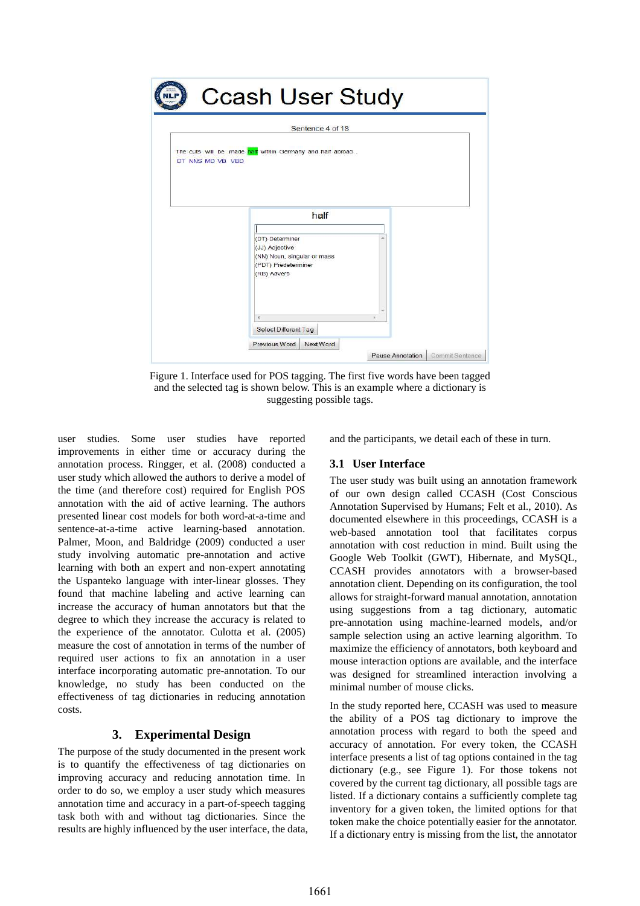

Figure 1. Interface used for POS tagging. The first five words have been tagged and the selected tag is shown below. This is an example where a dictionary is suggesting possible tags.

user studies. Some user studies have reported improvements in either time or accuracy during the annotation process. Ringger, et al. (2008) conducted a user study which allowed the authors to derive a model of the time (and therefore cost) required for English POS annotation with the aid of active learning. The authors presented linear cost models for both word-at-a-time and sentence-at-a-time active learning-based annotation. Palmer, Moon, and Baldridge (2009) conducted a user study involving automatic pre-annotation and active learning with both an expert and non-expert annotating the Uspanteko language with inter-linear glosses. They found that machine labeling and active learning can increase the accuracy of human annotators but that the degree to which they increase the accuracy is related to the experience of the annotator. Culotta et al. (2005) measure the cost of annotation in terms of the number of required user actions to fix an annotation in a user interface incorporating automatic pre-annotation. To our knowledge, no study has been conducted on the effectiveness of tag dictionaries in reducing annotation costs.

# **3. Experimental Design**

The purpose of the study documented in the present work is to quantify the effectiveness of tag dictionaries on improving accuracy and reducing annotation time. In order to do so, we employ a user study which measures annotation time and accuracy in a part-of-speech tagging task both with and without tag dictionaries. Since the results are highly influenced by the user interface, the data, and the participants, we detail each of these in turn.

## **3.1 User Interface**

The user study was built using an annotation framework of our own design called CCASH (Cost Conscious Annotation Supervised by Humans; Felt et al., 2010). As documented elsewhere in this proceedings, CCASH is a web-based annotation tool that facilitates corpus annotation with cost reduction in mind. Built using the Google Web Toolkit (GWT), Hibernate, and MySQL, CCASH provides annotators with a browser-based annotation client. Depending on its configuration, the tool allows for straight-forward manual annotation, annotation using suggestions from a tag dictionary, automatic pre-annotation using machine-learned models, and/or sample selection using an active learning algorithm. To maximize the efficiency of annotators, both keyboard and mouse interaction options are available, and the interface was designed for streamlined interaction involving a minimal number of mouse clicks.

In the study reported here, CCASH was used to measure the ability of a POS tag dictionary to improve the annotation process with regard to both the speed and accuracy of annotation. For every token, the CCASH interface presents a list of tag options contained in the tag dictionary (e.g., see Figure 1). For those tokens not covered by the current tag dictionary, all possible tags are listed. If a dictionary contains a sufficiently complete tag inventory for a given token, the limited options for that token make the choice potentially easier for the annotator. If a dictionary entry is missing from the list, the annotator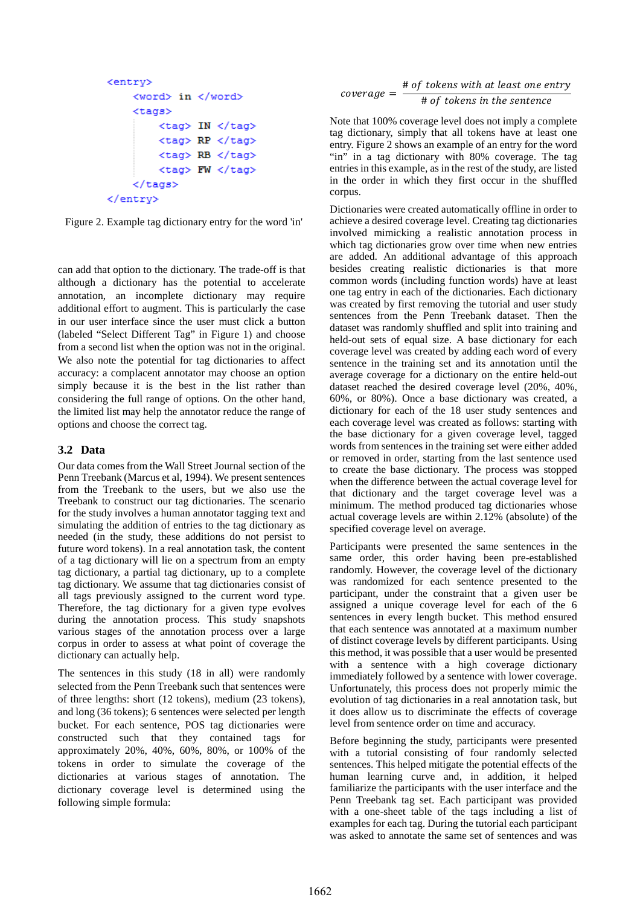```
<entrv>
    <word> in </word>
    <tags><tag> IN </tag>
        <tag> RP </tag>
        <tag> RB </tag>
        <tag> FW </tag>
    </tags>
</entry>
```
Figure 2. Example tag dictionary entry for the word 'in'

can add that option to the dictionary. The trade-off is that although a dictionary has the potential to accelerate annotation, an incomplete dictionary may require additional effort to augment. This is particularly the case in our user interface since the user must click a button (labeled "Select Different Tag" in Figure 1) and choose from a second list when the option was not in the original. We also note the potential for tag dictionaries to affect accuracy: a complacent annotator may choose an option simply because it is the best in the list rather than considering the full range of options. On the other hand, the limited list may help the annotator reduce the range of options and choose the correct tag.

## **3.2 Data**

Our data comes from the Wall Street Journal section of the Penn Treebank (Marcus et al, 1994). We present sentences from the Treebank to the users, but we also use the Treebank to construct our tag dictionaries. The scenario for the study involves a human annotator tagging text and simulating the addition of entries to the tag dictionary as needed (in the study, these additions do not persist to future word tokens). In a real annotation task, the content of a tag dictionary will lie on a spectrum from an empty tag dictionary, a partial tag dictionary, up to a complete tag dictionary. We assume that tag dictionaries consist of all tags previously assigned to the current word type. Therefore, the tag dictionary for a given type evolves during the annotation process. This study snapshots various stages of the annotation process over a large corpus in order to assess at what point of coverage the dictionary can actually help.

The sentences in this study (18 in all) were randomly selected from the Penn Treebank such that sentences were of three lengths: short (12 tokens), medium (23 tokens), and long (36 tokens); 6 sentences were selected per length bucket. For each sentence, POS tag dictionaries were constructed such that they contained tags for approximately 20%, 40%, 60%, 80%, or 100% of the tokens in order to simulate the coverage of the dictionaries at various stages of annotation. The dictionary coverage level is determined using the following simple formula:

$$
coverage = \frac{\text{# of tokens with at least one entry}}{\text{# of tokens in the sentence}}
$$

Note that 100% coverage level does not imply a complete tag dictionary, simply that all tokens have at least one entry. Figure 2 shows an example of an entry for the word "in" in a tag dictionary with 80% coverage. The tag entries in this example, as in the rest of the study, are listed in the order in which they first occur in the shuffled corpus.

Dictionaries were created automatically offline in order to achieve a desired coverage level. Creating tag dictionaries involved mimicking a realistic annotation process in which tag dictionaries grow over time when new entries are added. An additional advantage of this approach besides creating realistic dictionaries is that more common words (including function words) have at least one tag entry in each of the dictionaries. Each dictionary was created by first removing the tutorial and user study sentences from the Penn Treebank dataset. Then the dataset was randomly shuffled and split into training and held-out sets of equal size. A base dictionary for each coverage level was created by adding each word of every sentence in the training set and its annotation until the average coverage for a dictionary on the entire held-out dataset reached the desired coverage level (20%, 40%, 60%, or 80%). Once a base dictionary was created, a dictionary for each of the 18 user study sentences and each coverage level was created as follows: starting with the base dictionary for a given coverage level, tagged words from sentences in the training set were either added or removed in order, starting from the last sentence used to create the base dictionary. The process was stopped when the difference between the actual coverage level for that dictionary and the target coverage level was a minimum. The method produced tag dictionaries whose actual coverage levels are within 2.12% (absolute) of the specified coverage level on average.

Participants were presented the same sentences in the same order, this order having been pre-established randomly. However, the coverage level of the dictionary was randomized for each sentence presented to the participant, under the constraint that a given user be assigned a unique coverage level for each of the 6 sentences in every length bucket. This method ensured that each sentence was annotated at a maximum number of distinct coverage levels by different participants. Using this method, it was possible that a user would be presented with a sentence with a high coverage dictionary immediately followed by a sentence with lower coverage. Unfortunately, this process does not properly mimic the evolution of tag dictionaries in a real annotation task, but it does allow us to discriminate the effects of coverage level from sentence order on time and accuracy.

Before beginning the study, participants were presented with a tutorial consisting of four randomly selected sentences. This helped mitigate the potential effects of the human learning curve and, in addition, it helped familiarize the participants with the user interface and the Penn Treebank tag set. Each participant was provided with a one-sheet table of the tags including a list of examples for each tag. During the tutorial each participant was asked to annotate the same set of sentences and was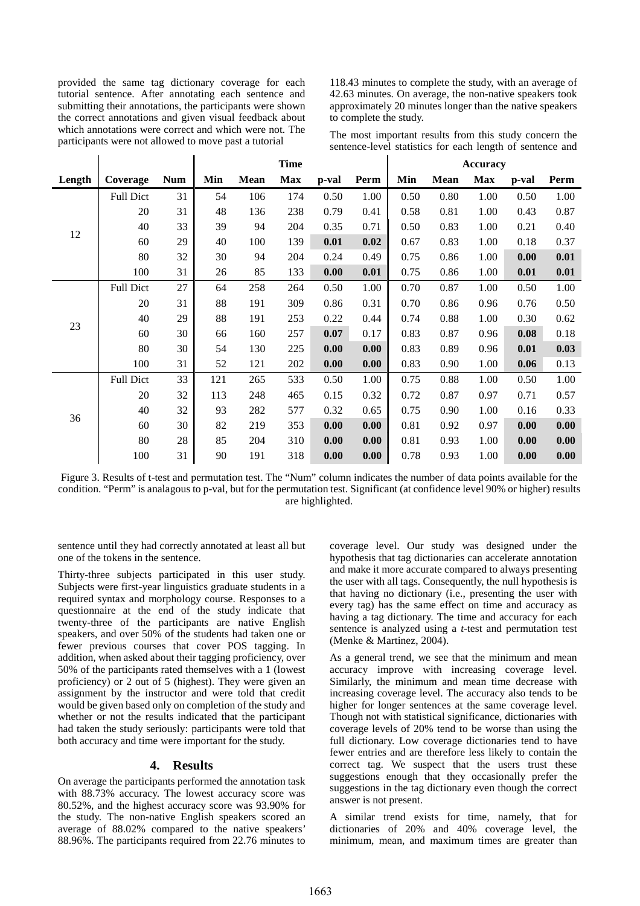provided the same tag dictionary coverage for each tutorial sentence. After annotating each sentence and submitting their annotations, the participants were shown the correct annotations and given visual feedback about which annotations were correct and which were not. The participants were not allowed to move past a tutorial

118.43 minutes to complete the study, with an average of 42.63 minutes. On average, the non-native speakers took approximately 20 minutes longer than the native speakers to complete the study.

The most important results from this study concern the sentence-level statistics for each length of sentence and

|        |                  |            | <b>Time</b> |      |            |       |      | <b>Accuracy</b> |      |      |       |      |
|--------|------------------|------------|-------------|------|------------|-------|------|-----------------|------|------|-------|------|
| Length | Coverage         | <b>Num</b> | Min         | Mean | <b>Max</b> | p-val | Perm | Min             | Mean | Max  | p-val | Perm |
| 12     | <b>Full Dict</b> | 31         | 54          | 106  | 174        | 0.50  | 1.00 | 0.50            | 0.80 | 1.00 | 0.50  | 1.00 |
|        | 20               | 31         | 48          | 136  | 238        | 0.79  | 0.41 | 0.58            | 0.81 | 1.00 | 0.43  | 0.87 |
|        | 40               | 33         | 39          | 94   | 204        | 0.35  | 0.71 | 0.50            | 0.83 | 1.00 | 0.21  | 0.40 |
|        | 60               | 29         | 40          | 100  | 139        | 0.01  | 0.02 | 0.67            | 0.83 | 1.00 | 0.18  | 0.37 |
|        | 80               | 32         | 30          | 94   | 204        | 0.24  | 0.49 | 0.75            | 0.86 | 1.00 | 0.00  | 0.01 |
|        | 100              | 31         | 26          | 85   | 133        | 0.00  | 0.01 | 0.75            | 0.86 | 1.00 | 0.01  | 0.01 |
| 23     | <b>Full Dict</b> | 27         | 64          | 258  | 264        | 0.50  | 1.00 | 0.70            | 0.87 | 1.00 | 0.50  | 1.00 |
|        | 20               | 31         | 88          | 191  | 309        | 0.86  | 0.31 | 0.70            | 0.86 | 0.96 | 0.76  | 0.50 |
|        | 40               | 29         | 88          | 191  | 253        | 0.22  | 0.44 | 0.74            | 0.88 | 1.00 | 0.30  | 0.62 |
|        | 60               | 30         | 66          | 160  | 257        | 0.07  | 0.17 | 0.83            | 0.87 | 0.96 | 0.08  | 0.18 |
|        | 80               | 30         | 54          | 130  | 225        | 0.00  | 0.00 | 0.83            | 0.89 | 0.96 | 0.01  | 0.03 |
|        | 100              | 31         | 52          | 121  | 202        | 0.00  | 0.00 | 0.83            | 0.90 | 1.00 | 0.06  | 0.13 |
| 36     | <b>Full Dict</b> | 33         | 121         | 265  | 533        | 0.50  | 1.00 | 0.75            | 0.88 | 1.00 | 0.50  | 1.00 |
|        | 20               | 32         | 113         | 248  | 465        | 0.15  | 0.32 | 0.72            | 0.87 | 0.97 | 0.71  | 0.57 |
|        | 40               | 32         | 93          | 282  | 577        | 0.32  | 0.65 | 0.75            | 0.90 | 1.00 | 0.16  | 0.33 |
|        | 60               | 30         | 82          | 219  | 353        | 0.00  | 0.00 | 0.81            | 0.92 | 0.97 | 0.00  | 0.00 |
|        | 80               | 28         | 85          | 204  | 310        | 0.00  | 0.00 | 0.81            | 0.93 | 1.00 | 0.00  | 0.00 |
|        | 100              | 31         | 90          | 191  | 318        | 0.00  | 0.00 | 0.78            | 0.93 | 1.00 | 0.00  | 0.00 |

Figure 3. Results of t-test and permutation test. The "Num" column indicates the number of data points available for the condition. "Perm" is analagous to p-val, but for the permutation test. Significant (at confidence level 90% or higher) results are highlighted.

sentence until they had correctly annotated at least all but one of the tokens in the sentence.

Thirty-three subjects participated in this user study. Subjects were first-year linguistics graduate students in a required syntax and morphology course. Responses to a questionnaire at the end of the study indicate that twenty-three of the participants are native English speakers, and over 50% of the students had taken one or fewer previous courses that cover POS tagging. In addition, when asked about their tagging proficiency, over 50% of the participants rated themselves with a 1 (lowest proficiency) or 2 out of 5 (highest). They were given an assignment by the instructor and were told that credit would be given based only on completion of the study and whether or not the results indicated that the participant had taken the study seriously: participants were told that both accuracy and time were important for the study.

### **4. Results**

On average the participants performed the annotation task with 88.73% accuracy. The lowest accuracy score was 80.52%, and the highest accuracy score was 93.90% for the study. The non-native English speakers scored an average of 88.02% compared to the native speakers' 88.96%. The participants required from 22.76 minutes to coverage level. Our study was designed under the hypothesis that tag dictionaries can accelerate annotation and make it more accurate compared to always presenting the user with all tags. Consequently, the null hypothesis is that having no dictionary (i.e., presenting the user with every tag) has the same effect on time and accuracy as having a tag dictionary. The time and accuracy for each sentence is analyzed using a *t*-test and permutation test (Menke & Martinez, 2004).

As a general trend, we see that the minimum and mean accuracy improve with increasing coverage level. Similarly, the minimum and mean time decrease with increasing coverage level. The accuracy also tends to be higher for longer sentences at the same coverage level. Though not with statistical significance, dictionaries with coverage levels of 20% tend to be worse than using the full dictionary. Low coverage dictionaries tend to have fewer entries and are therefore less likely to contain the correct tag. We suspect that the users trust these suggestions enough that they occasionally prefer the suggestions in the tag dictionary even though the correct answer is not present.

A similar trend exists for time, namely, that for dictionaries of 20% and 40% coverage level, the minimum, mean, and maximum times are greater than